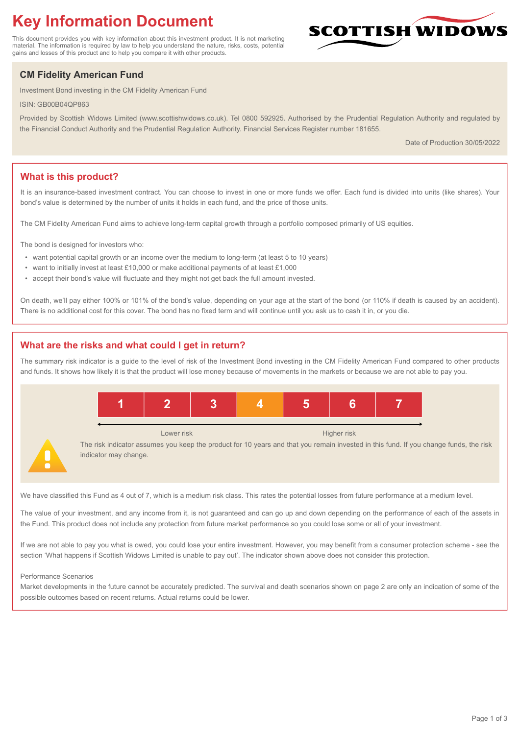# **Key Information Document**

This document provides you with key information about this investment product. It is not marketing material. The information is required by law to help you understand the nature, risks, costs, potential gains and losses of this product and to help you compare it with other products.

## **CM Fidelity American Fund**

Investment Bond investing in the CM Fidelity American Fund

ISIN: GB00B04QP863

Provided by Scottish Widows Limited (www.scottishwidows.co.uk). Tel 0800 592925. Authorised by the Prudential Regulation Authority and regulated by the Financial Conduct Authority and the Prudential Regulation Authority. Financial Services Register number 181655.

Date of Production 30/05/2022

**SCOTTISH WIDOW** 

## **What is this product?**

It is an insurance-based investment contract. You can choose to invest in one or more funds we offer. Each fund is divided into units (like shares). Your bond's value is determined by the number of units it holds in each fund, and the price of those units.

The CM Fidelity American Fund aims to achieve long-term capital growth through a portfolio composed primarily of US equities.

The bond is designed for investors who:

- want potential capital growth or an income over the medium to long-term (at least 5 to 10 years)
- want to initially invest at least £10,000 or make additional payments of at least £1,000
- accept their bond's value will fluctuate and they might not get back the full amount invested.

On death, we'll pay either 100% or 101% of the bond's value, depending on your age at the start of the bond (or 110% if death is caused by an accident). There is no additional cost for this cover. The bond has no fixed term and will continue until you ask us to cash it in, or you die.

## **What are the risks and what could I get in return?**

The summary risk indicator is a guide to the level of risk of the Investment Bond investing in the CM Fidelity American Fund compared to other products and funds. It shows how likely it is that the product will lose money because of movements in the markets or because we are not able to pay you.



We have classified this Fund as 4 out of 7, which is a medium risk class. This rates the potential losses from future performance at a medium level.

The value of your investment, and any income from it, is not guaranteed and can go up and down depending on the performance of each of the assets in the Fund. This product does not include any protection from future market performance so you could lose some or all of your investment.

If we are not able to pay you what is owed, you could lose your entire investment. However, you may benefit from a consumer protection scheme - see the section 'What happens if Scottish Widows Limited is unable to pay out'. The indicator shown above does not consider this protection.

#### Performance Scenarios

Market developments in the future cannot be accurately predicted. The survival and death scenarios shown on page 2 are only an indication of some of the possible outcomes based on recent returns. Actual returns could be lower.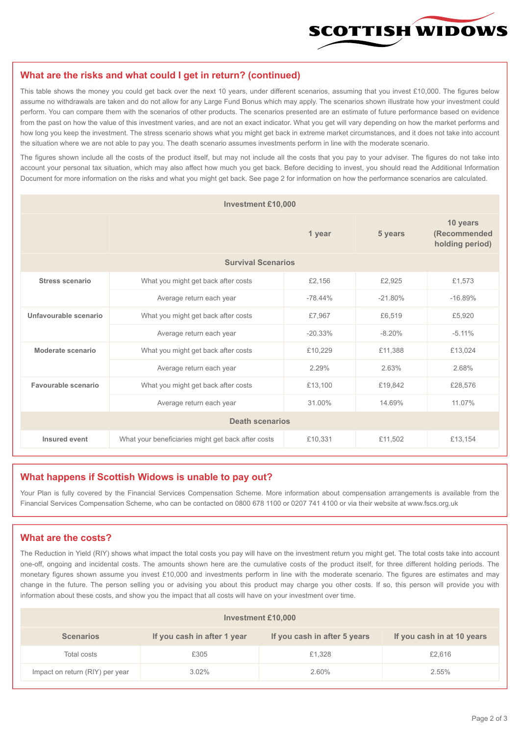

#### **What are the risks and what could I get in return? (continued)**

This table shows the money you could get back over the next 10 years, under different scenarios, assuming that you invest £10,000. The figures below assume no withdrawals are taken and do not allow for any Large Fund Bonus which may apply. The scenarios shown illustrate how your investment could perform. You can compare them with the scenarios of other products. The scenarios presented are an estimate of future performance based on evidence from the past on how the value of this investment varies, and are not an exact indicator. What you get will vary depending on how the market performs and how long you keep the investment. The stress scenario shows what you might get back in extreme market circumstances, and it does not take into account the situation where we are not able to pay you. The death scenario assumes investments perform in line with the moderate scenario.

The figures shown include all the costs of the product itself, but may not include all the costs that you pay to your adviser. The figures do not take into account your personal tax situation, which may also affect how much you get back. Before deciding to invest, you should read the Additional Information Document for more information on the risks and what you might get back. See page 2 for information on how the performance scenarios are calculated.

| <b>Investment £10,000</b> |                                                    |           |           |                                             |  |  |
|---------------------------|----------------------------------------------------|-----------|-----------|---------------------------------------------|--|--|
|                           | 1 year                                             |           | 5 years   | 10 years<br>(Recommended<br>holding period) |  |  |
| <b>Survival Scenarios</b> |                                                    |           |           |                                             |  |  |
| <b>Stress scenario</b>    | What you might get back after costs                | £2,156    | £2,925    | £1,573                                      |  |  |
|                           | Average return each year<br>$-78.44%$              |           | $-21.80%$ | $-16.89%$                                   |  |  |
| Unfavourable scenario     | What you might get back after costs<br>£7,967      |           | £6,519    | £5,920                                      |  |  |
|                           | Average return each year                           | $-20.33%$ | $-8.20%$  | $-5.11%$                                    |  |  |
| Moderate scenario         | What you might get back after costs                | £10,229   | £11,388   | £13,024                                     |  |  |
|                           | Average return each year                           | 2.29%     | 2.63%     | 2.68%                                       |  |  |
| Favourable scenario       | What you might get back after costs                | £13,100   | £19,842   | £28,576                                     |  |  |
|                           | Average return each year                           | 31.00%    | 14.69%    | 11.07%                                      |  |  |
| <b>Death scenarios</b>    |                                                    |           |           |                                             |  |  |
| Insured event             | What your beneficiaries might get back after costs | £10,331   | £11,502   | £13,154                                     |  |  |

#### **What happens if Scottish Widows is unable to pay out?**

Your Plan is fully covered by the Financial Services Compensation Scheme. More information about compensation arrangements is available from the Financial Services Compensation Scheme, who can be contacted on 0800 678 1100 or 0207 741 4100 or via their website at www.fscs.org.uk

## **What are the costs?**

The Reduction in Yield (RIY) shows what impact the total costs you pay will have on the investment return you might get. The total costs take into account one-off, ongoing and incidental costs. The amounts shown here are the cumulative costs of the product itself, for three different holding periods. The monetary figures shown assume you invest £10,000 and investments perform in line with the moderate scenario. The figures are estimates and may change in the future. The person selling you or advising you about this product may charge you other costs. If so, this person will provide you with information about these costs, and show you the impact that all costs will have on your investment over time.

| Investment £10,000              |                             |                              |                            |  |  |  |
|---------------------------------|-----------------------------|------------------------------|----------------------------|--|--|--|
| <b>Scenarios</b>                | If you cash in after 1 year | If you cash in after 5 years | If you cash in at 10 years |  |  |  |
| Total costs                     | £305                        | £1,328                       | £2,616                     |  |  |  |
| Impact on return (RIY) per year | 3.02%                       | 2.60%                        | 2.55%                      |  |  |  |